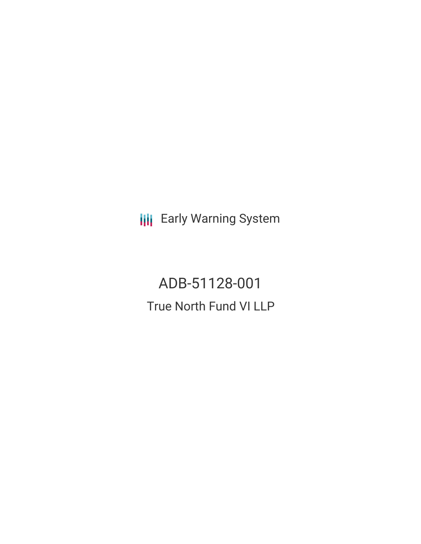**III** Early Warning System

ADB-51128-001 True North Fund VI LLP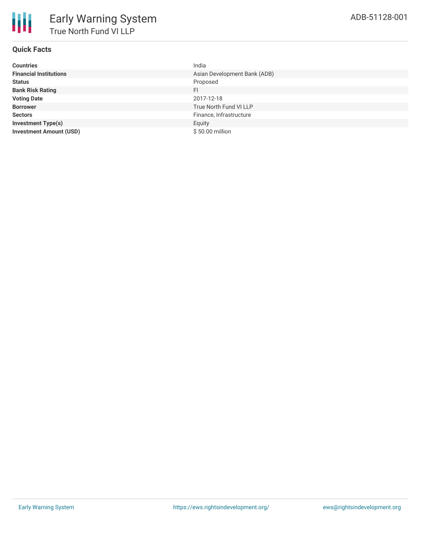

# **Quick Facts**

| <b>Countries</b>               | India                        |
|--------------------------------|------------------------------|
| <b>Financial Institutions</b>  | Asian Development Bank (ADB) |
| <b>Status</b>                  | Proposed                     |
| <b>Bank Risk Rating</b>        | FI                           |
| <b>Voting Date</b>             | 2017-12-18                   |
| <b>Borrower</b>                | True North Fund VI LLP       |
| <b>Sectors</b>                 | Finance, Infrastructure      |
| <b>Investment Type(s)</b>      | Equity                       |
| <b>Investment Amount (USD)</b> | \$50.00 million              |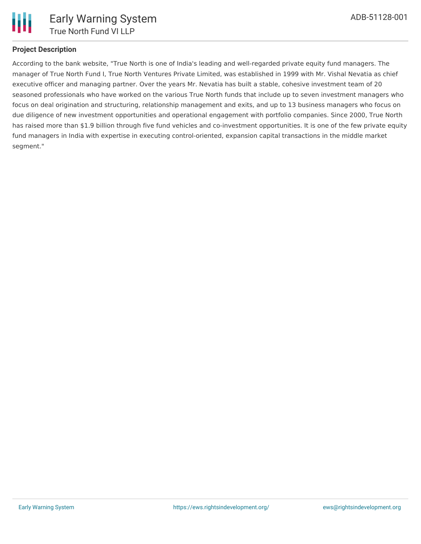

# **Project Description**

According to the bank website, "True North is one of India's leading and well-regarded private equity fund managers. The manager of True North Fund I, True North Ventures Private Limited, was established in 1999 with Mr. Vishal Nevatia as chief executive officer and managing partner. Over the years Mr. Nevatia has built a stable, cohesive investment team of 20 seasoned professionals who have worked on the various True North funds that include up to seven investment managers who focus on deal origination and structuring, relationship management and exits, and up to 13 business managers who focus on due diligence of new investment opportunities and operational engagement with portfolio companies. Since 2000, True North has raised more than \$1.9 billion through five fund vehicles and co-investment opportunities. It is one of the few private equity fund managers in India with expertise in executing control-oriented, expansion capital transactions in the middle market segment."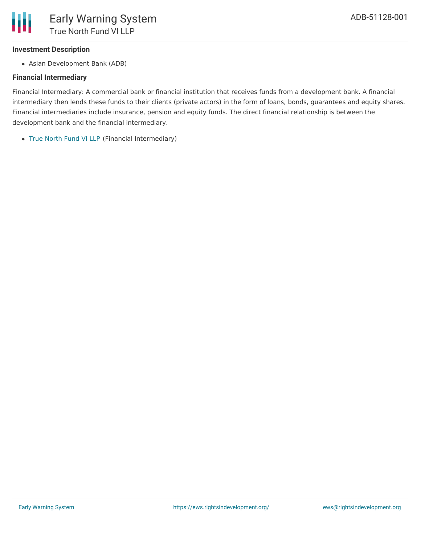### **Investment Description**

Asian Development Bank (ADB)

## **Financial Intermediary**

Financial Intermediary: A commercial bank or financial institution that receives funds from a development bank. A financial intermediary then lends these funds to their clients (private actors) in the form of loans, bonds, guarantees and equity shares. Financial intermediaries include insurance, pension and equity funds. The direct financial relationship is between the development bank and the financial intermediary.

True [North](file:///actor/1531/) Fund VI LLP (Financial Intermediary)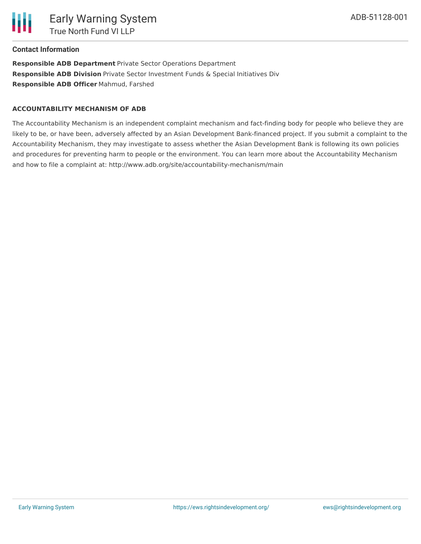

#### **Contact Information**

**Responsible ADB Department** Private Sector Operations Department **Responsible ADB Division** Private Sector Investment Funds & Special Initiatives Div **Responsible ADB Officer** Mahmud, Farshed

#### **ACCOUNTABILITY MECHANISM OF ADB**

The Accountability Mechanism is an independent complaint mechanism and fact-finding body for people who believe they are likely to be, or have been, adversely affected by an Asian Development Bank-financed project. If you submit a complaint to the Accountability Mechanism, they may investigate to assess whether the Asian Development Bank is following its own policies and procedures for preventing harm to people or the environment. You can learn more about the Accountability Mechanism and how to file a complaint at: http://www.adb.org/site/accountability-mechanism/main